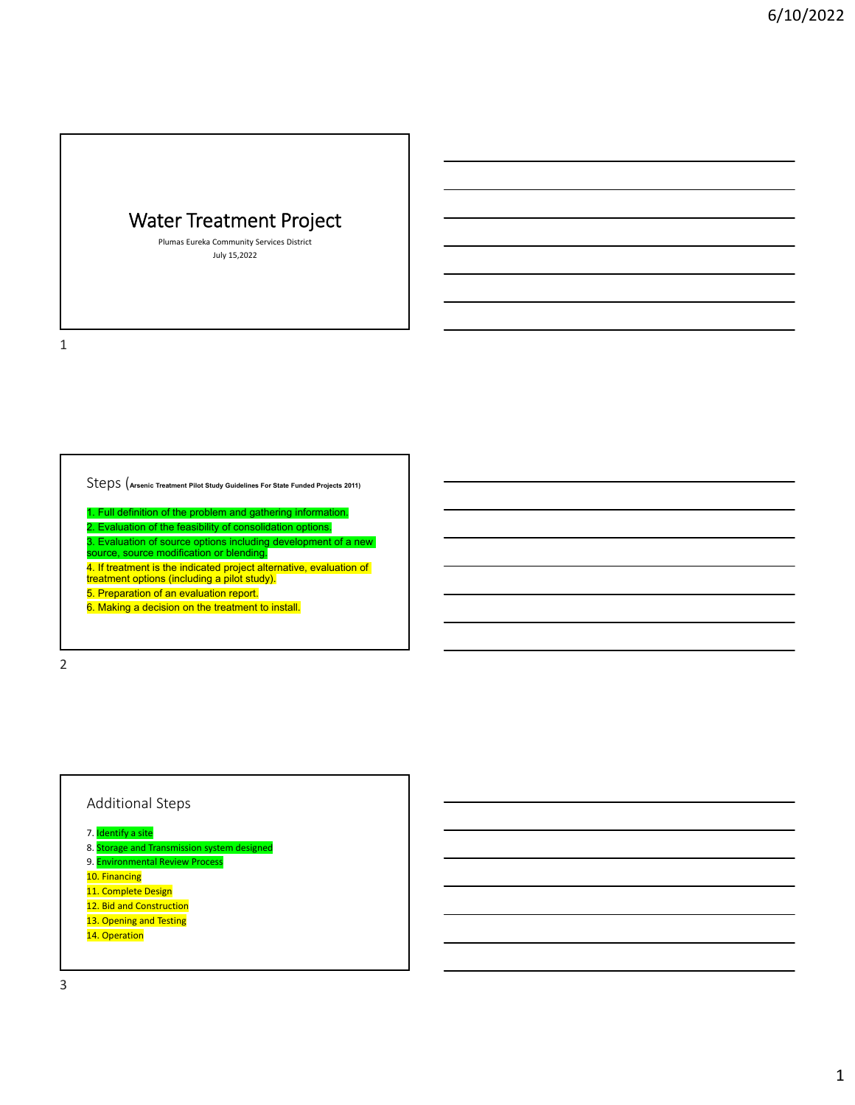# Water Treatment Project

Plumas Eureka Community Services District July 15,2022

1

Steps (**Arsenic Treatment Pilot Study Guidelines For State Funded Projects 2011)**

1. Full definition of the problem and gathering information. 2. Evaluation of the feasibility of consolidation options. 3. Evaluation of source options including development of a new source, source modification or blending. 4. If treatment is the indicated project alternative, evaluation of treatment options (including a pilot study). 5. Preparation of an evaluation report. 6. Making a decision on the treatment to install.

2

# Additional Steps

- 7. <mark>Identify a site</mark>
- 8. <mark>Storage and Transmission system designed</mark>
- 9. <mark>Environmental Review Process</mark>
- 10. Financing
- 11. Complete Design
- 12. Bid and Construction
- 13. Opening and Testing
- 14. Operation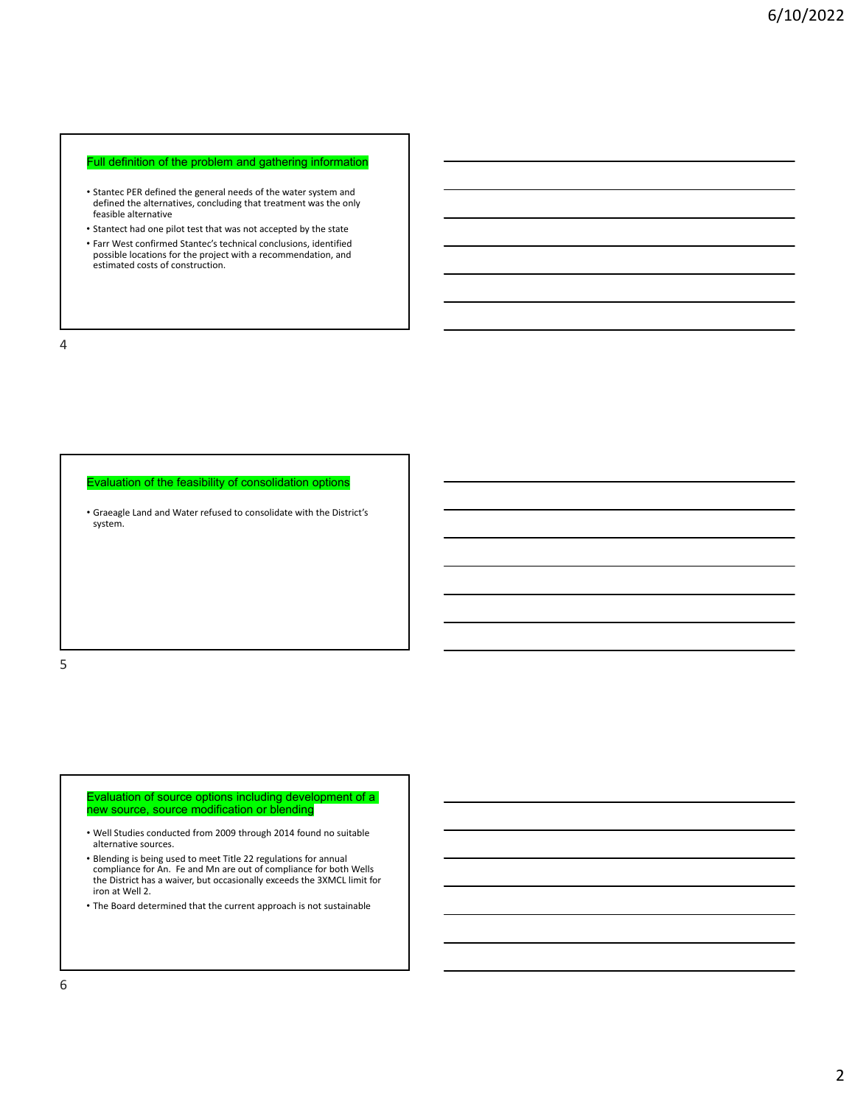### Full definition of the problem and gathering information

- Stantec PER defined the general needs of the water system and defined the alternatives, concluding that treatment was the only feasible alternative
- Stantect had one pilot test that was not accepted by the state • Farr West confirmed Stantec's technical conclusions, identified possible locations for the project with a recommendation, and estimated costs of construction.

4

Evaluation of the feasibility of consolidation options

• Graeagle Land and Water refused to consolidate with the District's system.

5

#### Evaluation of source options including development of a new source, source modification or blending

- Well Studies conducted from 2009 through 2014 found no suitable alternative sources.
- Blending is being used to meet Title 22 regulations for annual compliance for An. Fe and Mn are out of compliance for both Wells the District has a waiver, but occasionally exceeds the 3XMCL limit for iron at Well 2.
- The Board determined that the current approach is not sustainable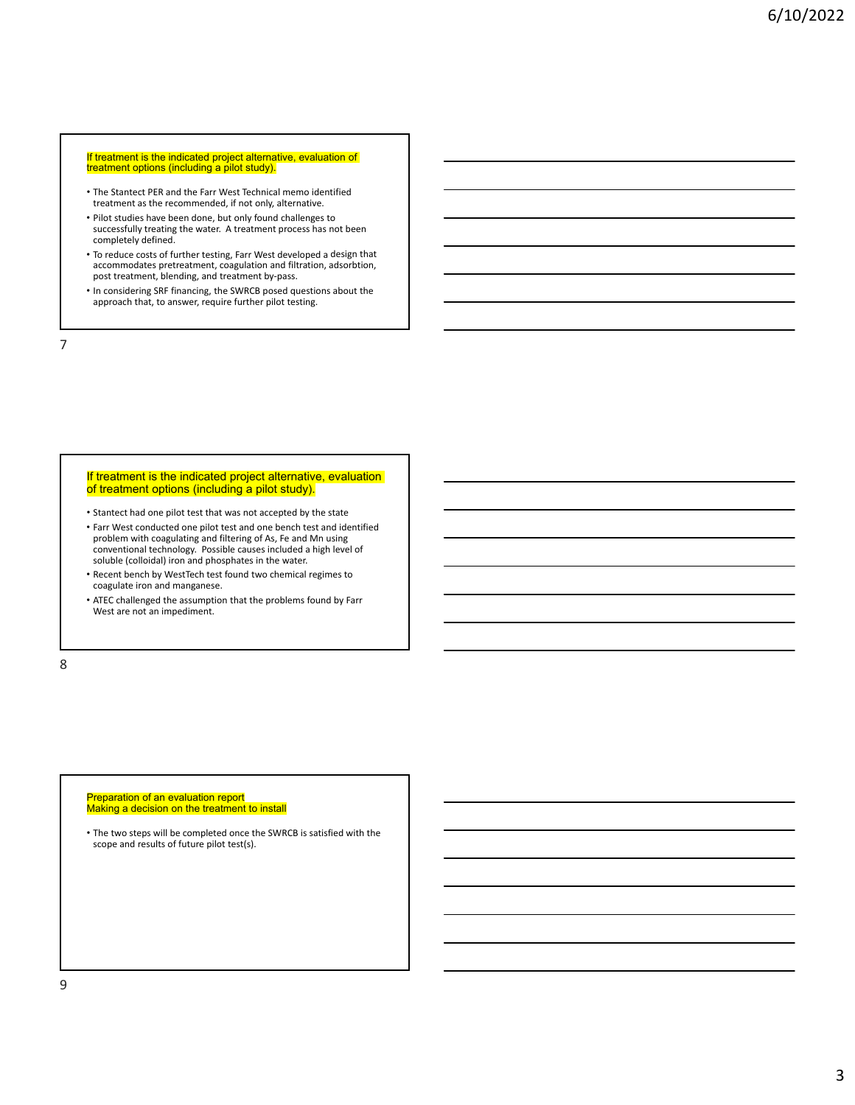#### If treatment is the indicated project alternative, evaluation of treatment options (including a pilot study).

- The Stantect PER and the Farr West Technical memo identified treatment as the recommended, if not only, alternative.
- Pilot studies have been done, but only found challenges to successfully treating the water. A treatment process has not been completely defined.
- To reduce costs of further testing, Farr West developed a design that accommodates pretreatment, coagulation and filtration, adsorbtion, post treatment, blending, and treatment by-pass.
- In considering SRF financing, the SWRCB posed questions about the approach that, to answer, require further pilot testing.

7

### If treatment is the indicated project alternative, evaluation of treatment options (including a pilot study).

- Stantect had one pilot test that was not accepted by the state
- Farr West conducted one pilot test and one bench test and identified problem with coagulating and filtering of As, Fe and Mn using conventional technology. Possible causes included a high level of soluble (colloidal) iron and phosphates in the water.
- Recent bench by WestTech test found two chemical regimes to coagulate iron and manganese.
- ATEC challenged the assumption that the problems found by Farr West are not an impediment.

8

# Preparation of an evaluation report Making a decision on the treatment to install

• The two steps will be completed once the SWRCB is satisfied with the scope and results of future pilot test(s).

9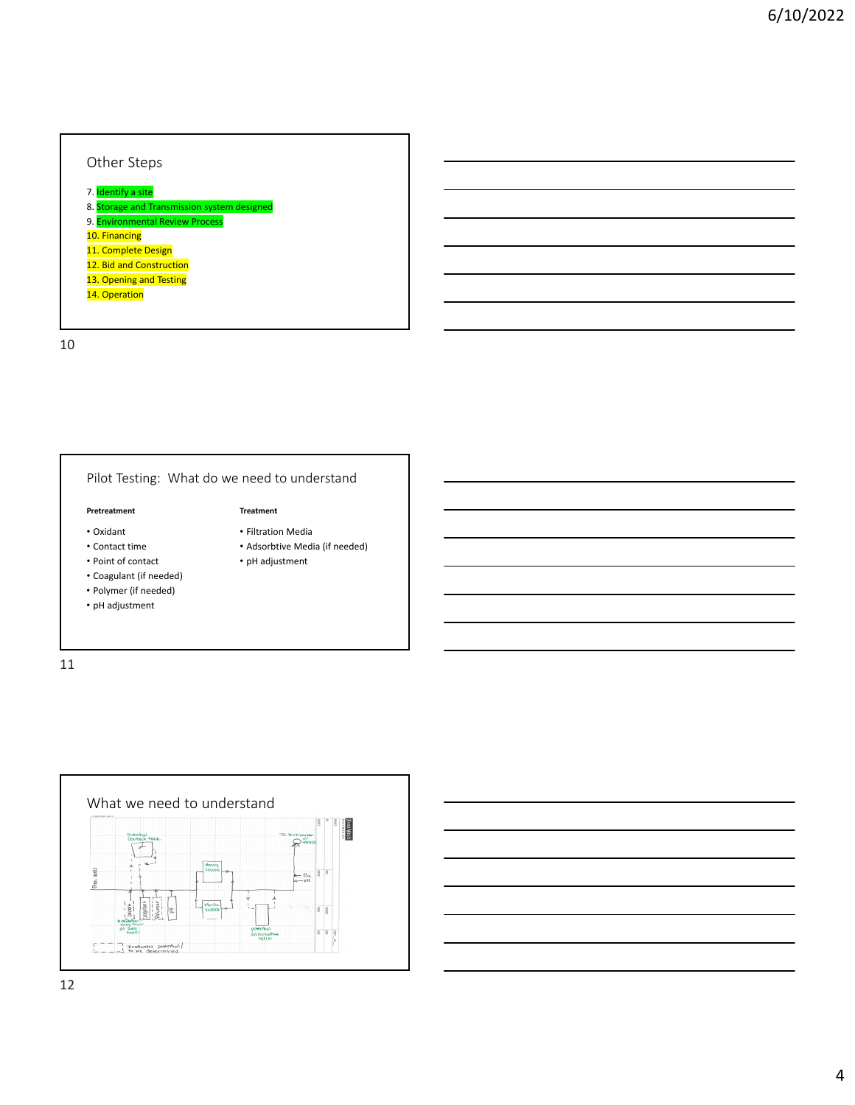# Other Steps 7. <mark>Identify a site</mark> 8. Storage and Transmission system designed 9. <mark>Environmental Review Process</mark> 10. Financing 11. Complete Design 12. Bid and Construction 13. Opening and Testing 14. Operation

10

| Pilot Testing: What do we need to understand |                                |
|----------------------------------------------|--------------------------------|
| Pretreatment                                 | <b>Treatment</b>               |
| $\cdot$ Oxidant                              | • Filtration Media             |
| • Contact time                               | • Adsorbtive Media (if needed) |
| • Point of contact                           | • pH adjustment                |
| • Coagulant (if needed)                      |                                |
| • Polymer (if needed)                        |                                |
| • pH adjustment                              |                                |

11

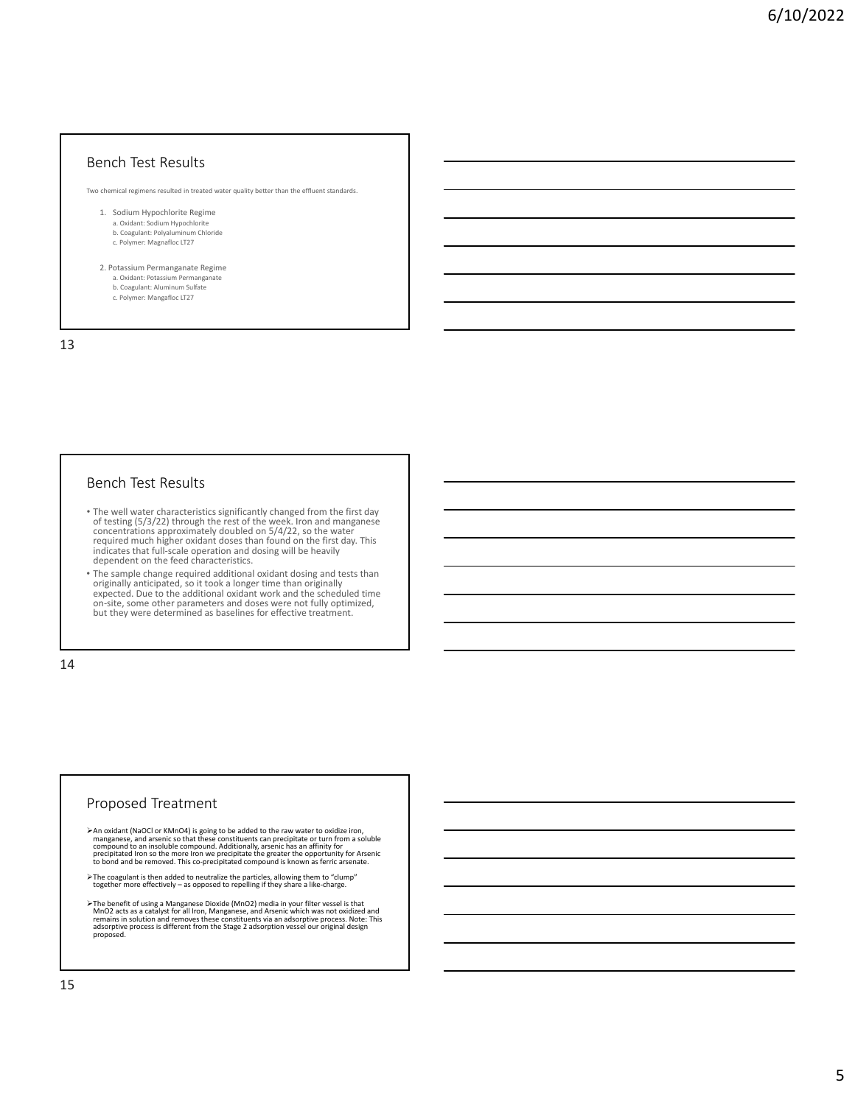## Bench Test Results

Two chemical regimens resulted in treated water quality better than the effluent standards.

- 1. Sodium Hypochlorite Regime a. Oxidant: Sodium Hypochlorite b. Coagulant: Polyaluminum Chloride c. Polymer: Magnafloc LT27
- 2. Potassium Permanganate Regime a. Oxidant: Potassium Permanganate
	- b. Coagulant: Aluminum Sulfate
	- c. Polymer: Mangafloc LT27

13

## Bench Test Results

- The well water characteristics significantly changed from the first day of testing  $(5/3/22)$  through the rest of the week. Iron and manganese concentrations approximately doubled on  $5/4/22$ , so the water required much
- The sample change required additional oxidant dosing and tests than originally anticipated, so it took a longer time than originally expected. Due to the additional oxidant work and the scheduled time expected. Due to the additional oxidant work and the scheduled time<br>on‐site, some other parameters and doses were not fully optimized,<br>but they were determined as baselines for effective treatment.

14

### Proposed Treatment

- > An oxidant (NaOCl or KMnO4) is going to be added to the raw water to oxidize iron, manganese, and arsenic so that these constituents can precipitate or turn from a soluble compound to an insoluble compound. Additionally,
- The coagulant is then added to neutralize the particles, allowing them to "clump" together more effectively as opposed to repelling if they share a like‐charge.
- The benefit of using a Manganese Dioxide (MnO2) media in your filter vessel is that MnO2 acts as a catalyst for all Iron, Manganese, and Arsenic members of an interpretation of the memasing of memasing the memasing communi proposed.